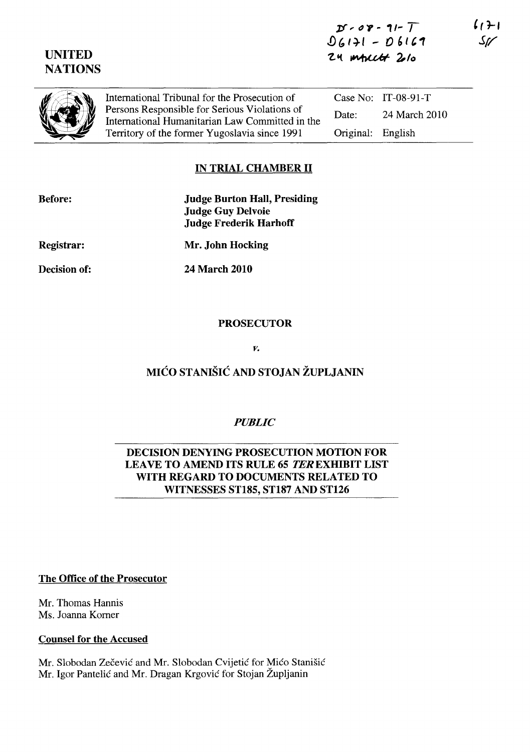# UNITED **NATIONS**

International Tribunal for the Prosecution of Persons Responsible for Serious Violations of International Humanitarian Law Committed in the Territory of the former Yugoslavia since 1991

Case No: IT-08-91-T Date: 24 March 2010 Original: English

# IN TRIAL CHAMBER 11

| <b>Judge Burton Hall, Presiding</b> |
|-------------------------------------|
| <b>Judge Guy Delvoie</b>            |
| <b>Judge Frederik Harhoff</b>       |
| Mr. John Hocking                    |
|                                     |

Decision of:

24 March 2010

## PROSECUTOR

### *v.*

# MICO STANISIC AND STOJAN ZUPLJANIN

## *PUBLIC*

### DECISION DENYING PROSECUTION MOTION FOR LEAVE TO AMEND ITS RULE 65 TER EXHIBIT LIST WITH REGARD TO DOCUMENTS RELATED TO WITNESSES ST185, ST187 AND ST126

### The Office of the Prosecutor

Mr. Thomas Hannis Ms. Joanna Korner

### Counsel for the Accused

Mr. Slobodan Zečević and Mr. Slobodan Cvijetić for Mićo Stanišić Mr. Igor Pantelic and Mr. Dragan Krgovic for Stojan Zupljanin

 $(1+1)$ Sr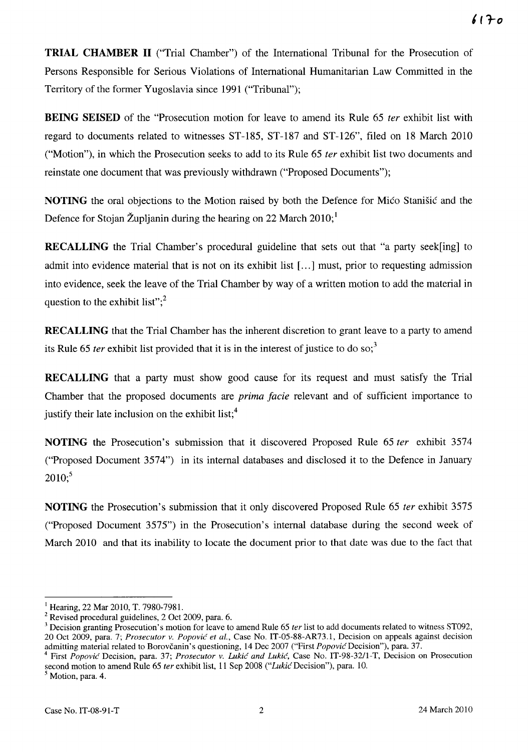**TRIAL CHAMBER 11** ("Trial Chamber") of the International Tribunal for the Prosecution of Persons Responsible for Serious Violations of International Humanitarian Law Committed in the Territory of the former Yugoslavia since 1991 ("Tribunal");

**BEING SEISED** of the "Prosecution motion for leave to amend its Rule 65 *ter* exhibit list with regard to documents related to witnesses ST-185, ST-187 and ST-126", filed on 18 March 2010 ("Motion"), in which the Prosecution seeks to add to its Rule 65 fer exhibit list two documents and reinstate one document that was previously withdrawn ("Proposed Documents");

**NOTING** the oral objections to the Motion raised by both the Defence for Mico Stani§ic and the Defence for Stojan Župljanin during the hearing on 22 March  $2010$ ;

**RECALLING** the Trial Chamber's procedural guideline that sets out that "a party seek[ing] to admit into evidence material that is not on its exhibit list [...] must, prior to requesting admission into evidence, seek the leave of the Trial Chamber by way of a written motion to add the material in question to the exhibit list"; $^{2}$ 

**RECALLING** that the Trial Chamber has the inherent discretion to grant leave to a party to amend its Rule 65 *ter* exhibit list provided that it is in the interest of justice to do so;<sup>3</sup>

**RECALLING** that a party must show good cause for its request and must satisfy the Trial Chamber that the proposed documents are *prima facie* relevant and of sufficient importance to justify their late inclusion on the exhibit list; $<sup>4</sup>$ </sup>

**NOTING** the Prosecution's submission that it discovered Proposed Rule 65 *ter* exhibit 3574 ("Proposed Document 3574") in its internal databases and disclosed it to the Defence in January  $2010$ ;<sup>5</sup>

**NOTING** the Prosecution's submission that it only discovered Proposed Rule 65 ter exhibit 3575 ("Proposed Document 3575") in the Prosecution's internal database during the second week of March 2010 and that its inability to locate the document prior to that date was due to the fact that

 $1$  Hearing, 22 Mar 2010, T. 7980-7981.

<sup>2</sup> Revised procedural guidelines, 2 Oct 2009, para. 6.

<sup>3</sup> Decision granting Prosecution's motion for leave to amend Rule 65 *ter* list to add documents related to witness ST092, 20 Oct 2009, para. 7; *Prosecutor v. Popovic et aI.,* Case No. IT-05-88-AR73.1, Decision on appeals against decision admitting material related to Borovčanin's questioning, 14 Dec 2007 ("First *Popovic* Decision"), para. 37.

<sup>4</sup> First *Popovic* Decision, para. 37; *Prosecutor v. Lukic and Lukic,* Case No. IT-98-32/l-T, Decision on Prosecution second motion to amend Rule 65 *ter* exhibit list, 11 Sep 2008 *("Lukic* Decision"), para. 10.

 $<sup>5</sup>$  Motion, para. 4.</sup>